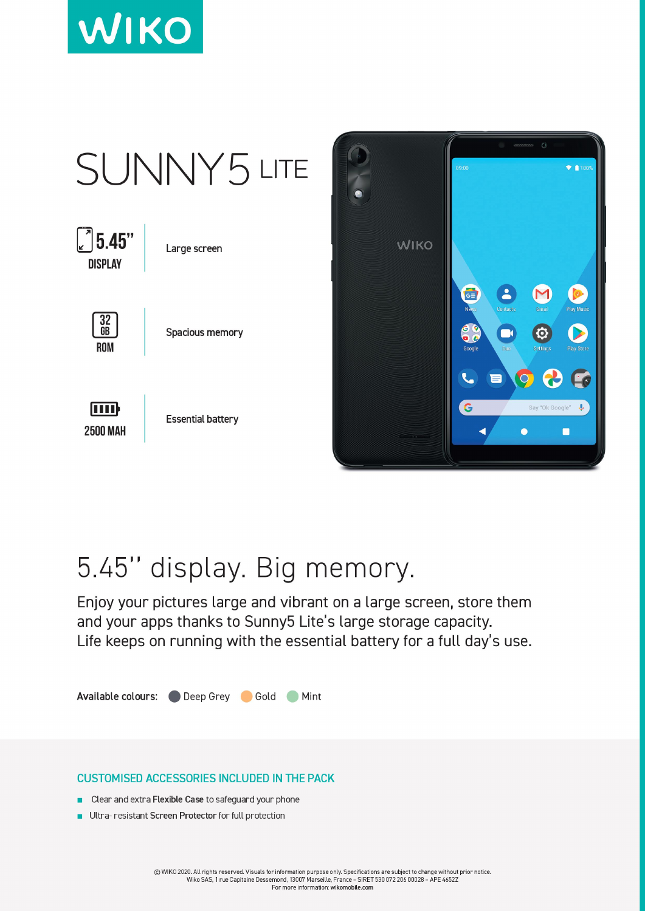





## 5.45" display. Big memory.

Enjoy your pictures large and vibrant on a large screen, store them and your apps thanks to Sunny5 Lite's large storage capacity. Life keeps on running with the essential battery for a full day's use.

Available colours: Deep Grey Gold Mint

## **CUSTOMISED ACCESSORIES INCLUDED IN THE PACK**

- Clear and extra Flexible Case to safeguard your phone
- Ultra-resistant Screen Protector for full protection